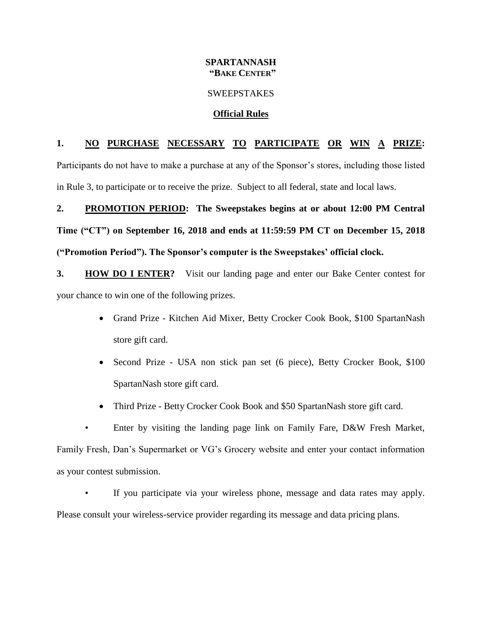### **SPARTANNASH "BAKE CENTER"**

#### SWEEPSTAKES

### **Official Rules**

## **1. NO PURCHASE NECESSARY TO PARTICIPATE OR WIN A PRIZE:**

Participants do not have to make a purchase at any of the Sponsor's stores, including those listed in Rule 3, to participate or to receive the prize. Subject to all federal, state and local laws.

# **2. PROMOTION PERIOD: The Sweepstakes begins at or about 12:00 PM Central Time ("CT") on September 16, 2018 and ends at 11:59:59 PM CT on December 15, 2018 ("Promotion Period"). The Sponsor's computer is the Sweepstakes' official clock.**

**3. HOW DO I ENTER?** Visit our landing page and enter our Bake Center contest for your chance to win one of the following prizes.

- Grand Prize Kitchen Aid Mixer, Betty Crocker Cook Book, \$100 SpartanNash store gift card.
- Second Prize USA non stick pan set (6 piece), Betty Crocker Book, \$100 SpartanNash store gift card.
- Third Prize Betty Crocker Cook Book and \$50 SpartanNash store gift card.

• Enter by visiting the landing page link on Family Fare, D&W Fresh Market, Family Fresh, Dan's Supermarket or VG's Grocery website and enter your contact information as your contest submission.

If you participate via your wireless phone, message and data rates may apply. Please consult your wireless-service provider regarding its message and data pricing plans.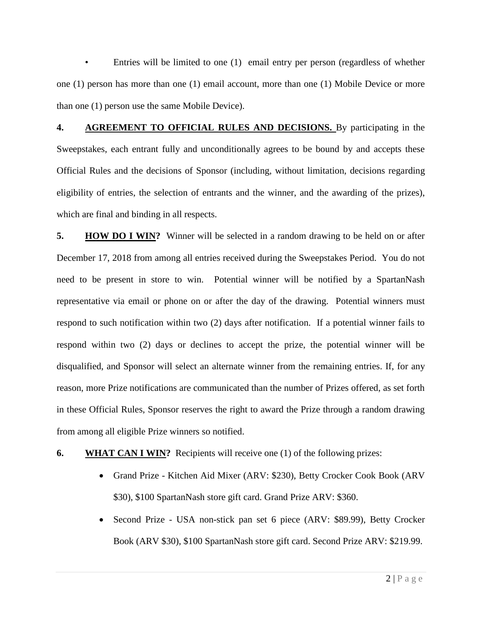Entries will be limited to one (1) email entry per person (regardless of whether one (1) person has more than one (1) email account, more than one (1) Mobile Device or more than one (1) person use the same Mobile Device).

**4. AGREEMENT TO OFFICIAL RULES AND DECISIONS.** By participating in the Sweepstakes, each entrant fully and unconditionally agrees to be bound by and accepts these Official Rules and the decisions of Sponsor (including, without limitation, decisions regarding eligibility of entries, the selection of entrants and the winner, and the awarding of the prizes), which are final and binding in all respects.

**5. HOW DO I WIN?** Winner will be selected in a random drawing to be held on or after December 17, 2018 from among all entries received during the Sweepstakes Period. You do not need to be present in store to win. Potential winner will be notified by a SpartanNash representative via email or phone on or after the day of the drawing. Potential winners must respond to such notification within two (2) days after notification. If a potential winner fails to respond within two (2) days or declines to accept the prize, the potential winner will be disqualified, and Sponsor will select an alternate winner from the remaining entries. If, for any reason, more Prize notifications are communicated than the number of Prizes offered, as set forth in these Official Rules, Sponsor reserves the right to award the Prize through a random drawing from among all eligible Prize winners so notified.

## **6. WHAT CAN I WIN?** Recipients will receive one (1) of the following prizes:

- Grand Prize Kitchen Aid Mixer (ARV: \$230), Betty Crocker Cook Book (ARV \$30), \$100 SpartanNash store gift card. Grand Prize ARV: \$360.
- Second Prize USA non-stick pan set 6 piece (ARV: \$89.99), Betty Crocker Book (ARV \$30), \$100 SpartanNash store gift card. Second Prize ARV: \$219.99.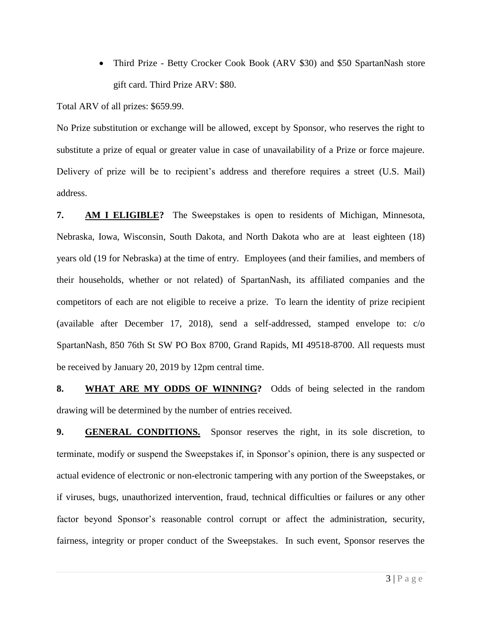• Third Prize - Betty Crocker Cook Book (ARV \$30) and \$50 SpartanNash store gift card. Third Prize ARV: \$80.

Total ARV of all prizes: \$659.99.

No Prize substitution or exchange will be allowed, except by Sponsor, who reserves the right to substitute a prize of equal or greater value in case of unavailability of a Prize or force majeure. Delivery of prize will be to recipient's address and therefore requires a street (U.S. Mail) address.

**7. AM I ELIGIBLE?** The Sweepstakes is open to residents of Michigan, Minnesota, Nebraska, Iowa, Wisconsin, South Dakota, and North Dakota who are at least eighteen (18) years old (19 for Nebraska) at the time of entry. Employees (and their families, and members of their households, whether or not related) of SpartanNash, its affiliated companies and the competitors of each are not eligible to receive a prize. To learn the identity of prize recipient (available after December 17, 2018), send a self-addressed, stamped envelope to: c/o SpartanNash, 850 76th St SW PO Box 8700, Grand Rapids, MI 49518-8700. All requests must be received by January 20, 2019 by 12pm central time.

**8. WHAT ARE MY ODDS OF WINNING?** Odds of being selected in the random drawing will be determined by the number of entries received.

**9. GENERAL CONDITIONS.** Sponsor reserves the right, in its sole discretion, to terminate, modify or suspend the Sweepstakes if, in Sponsor's opinion, there is any suspected or actual evidence of electronic or non-electronic tampering with any portion of the Sweepstakes, or if viruses, bugs, unauthorized intervention, fraud, technical difficulties or failures or any other factor beyond Sponsor's reasonable control corrupt or affect the administration, security, fairness, integrity or proper conduct of the Sweepstakes. In such event, Sponsor reserves the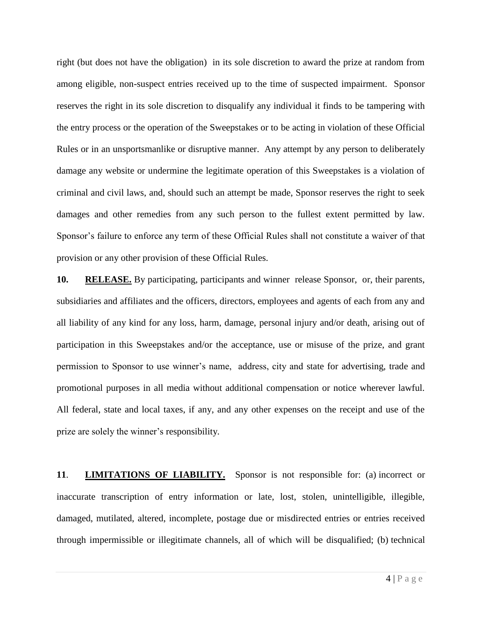right (but does not have the obligation) in its sole discretion to award the prize at random from among eligible, non-suspect entries received up to the time of suspected impairment. Sponsor reserves the right in its sole discretion to disqualify any individual it finds to be tampering with the entry process or the operation of the Sweepstakes or to be acting in violation of these Official Rules or in an unsportsmanlike or disruptive manner. Any attempt by any person to deliberately damage any website or undermine the legitimate operation of this Sweepstakes is a violation of criminal and civil laws, and, should such an attempt be made, Sponsor reserves the right to seek damages and other remedies from any such person to the fullest extent permitted by law. Sponsor's failure to enforce any term of these Official Rules shall not constitute a waiver of that provision or any other provision of these Official Rules.

**10. RELEASE.** By participating, participants and winner release Sponsor, or, their parents, subsidiaries and affiliates and the officers, directors, employees and agents of each from any and all liability of any kind for any loss, harm, damage, personal injury and/or death, arising out of participation in this Sweepstakes and/or the acceptance, use or misuse of the prize, and grant permission to Sponsor to use winner's name, address, city and state for advertising, trade and promotional purposes in all media without additional compensation or notice wherever lawful. All federal, state and local taxes, if any, and any other expenses on the receipt and use of the prize are solely the winner's responsibility.

**11**. **LIMITATIONS OF LIABILITY.** Sponsor is not responsible for: (a) incorrect or inaccurate transcription of entry information or late, lost, stolen, unintelligible, illegible, damaged, mutilated, altered, incomplete, postage due or misdirected entries or entries received through impermissible or illegitimate channels, all of which will be disqualified; (b) technical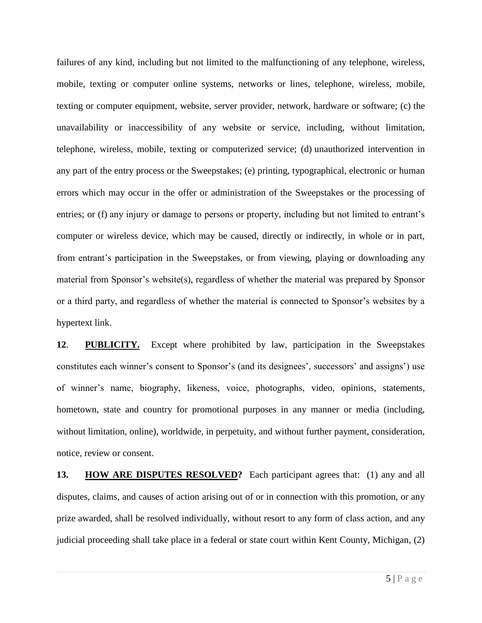failures of any kind, including but not limited to the malfunctioning of any telephone, wireless, mobile, texting or computer online systems, networks or lines, telephone, wireless, mobile, texting or computer equipment, website, server provider, network, hardware or software; (c) the unavailability or inaccessibility of any website or service, including, without limitation, telephone, wireless, mobile, texting or computerized service; (d) unauthorized intervention in any part of the entry process or the Sweepstakes; (e) printing, typographical, electronic or human errors which may occur in the offer or administration of the Sweepstakes or the processing of entries; or (f) any injury or damage to persons or property, including but not limited to entrant's computer or wireless device, which may be caused, directly or indirectly, in whole or in part, from entrant's participation in the Sweepstakes, or from viewing, playing or downloading any material from Sponsor's website(s), regardless of whether the material was prepared by Sponsor or a third party, and regardless of whether the material is connected to Sponsor's websites by a hypertext link.

**12**. **PUBLICITY.** Except where prohibited by law, participation in the Sweepstakes constitutes each winner's consent to Sponsor's (and its designees', successors' and assigns') use of winner's name, biography, likeness, voice, photographs, video, opinions, statements, hometown, state and country for promotional purposes in any manner or media (including, without limitation, online), worldwide, in perpetuity, and without further payment, consideration, notice, review or consent.

**13. HOW ARE DISPUTES RESOLVED?** Each participant agrees that: (1) any and all disputes, claims, and causes of action arising out of or in connection with this promotion, or any prize awarded, shall be resolved individually, without resort to any form of class action, and any judicial proceeding shall take place in a federal or state court within Kent County, Michigan, (2)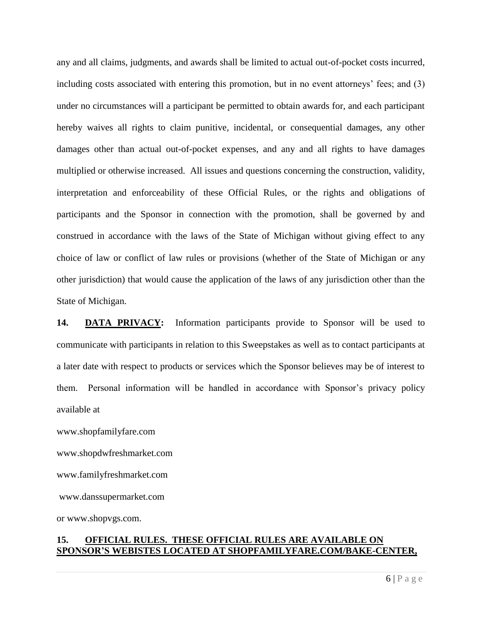any and all claims, judgments, and awards shall be limited to actual out-of-pocket costs incurred, including costs associated with entering this promotion, but in no event attorneys' fees; and (3) under no circumstances will a participant be permitted to obtain awards for, and each participant hereby waives all rights to claim punitive, incidental, or consequential damages, any other damages other than actual out-of-pocket expenses, and any and all rights to have damages multiplied or otherwise increased. All issues and questions concerning the construction, validity, interpretation and enforceability of these Official Rules, or the rights and obligations of participants and the Sponsor in connection with the promotion, shall be governed by and construed in accordance with the laws of the State of Michigan without giving effect to any choice of law or conflict of law rules or provisions (whether of the State of Michigan or any other jurisdiction) that would cause the application of the laws of any jurisdiction other than the State of Michigan.

**14. DATA PRIVACY:** Information participants provide to Sponsor will be used to communicate with participants in relation to this Sweepstakes as well as to contact participants at a later date with respect to products or services which the Sponsor believes may be of interest to them. Personal information will be handled in accordance with Sponsor's privacy policy available at

www.shopfamilyfare.com

www.shopdwfreshmarket.com

www.familyfreshmarket.com

www.danssupermarket.com

or www.shopvgs.com.

## **15. OFFICIAL RULES. THESE OFFICIAL RULES ARE AVAILABLE ON SPONSOR'S WEBISTES LOCATED AT SHOPFAMILYFARE.COM/BAKE-CENTER,**